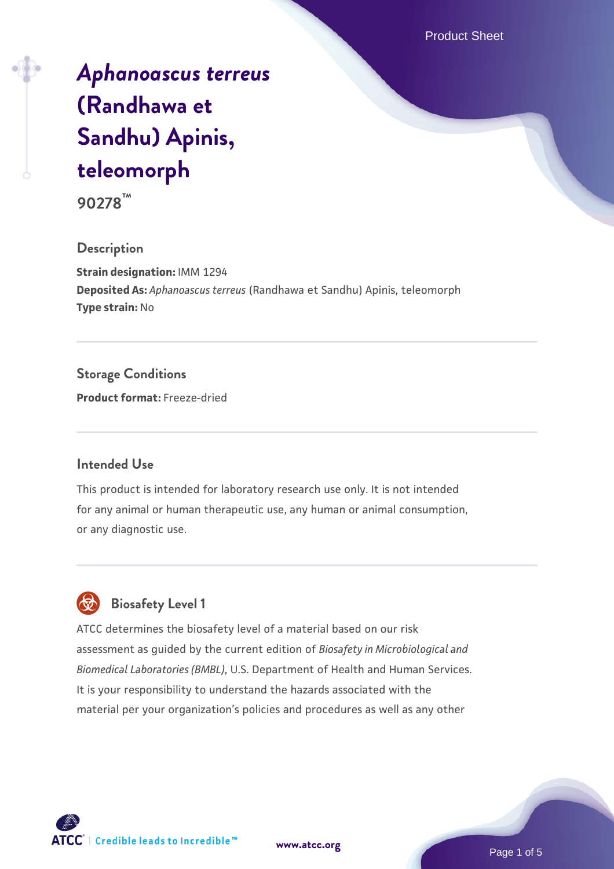# *[Aphanoascus terreus](https://www.atcc.org/products/90278)* **[\(Randhawa et](https://www.atcc.org/products/90278) [Sandhu\) Apinis,](https://www.atcc.org/products/90278) [teleomorph](https://www.atcc.org/products/90278)**

**90278™**

#### **Description**

**Strain designation:** IMM 1294 **Deposited As:** *Aphanoascus terreus* (Randhawa et Sandhu) Apinis, teleomorph **Type strain:** No

### **Storage Conditions**

**Product format:** Freeze-dried

#### **Intended Use**

This product is intended for laboratory research use only. It is not intended for any animal or human therapeutic use, any human or animal consumption, or any diagnostic use.

# **Biosafety Level 1**

ATCC determines the biosafety level of a material based on our risk assessment as guided by the current edition of *Biosafety in Microbiological and Biomedical Laboratories (BMBL)*, U.S. Department of Health and Human Services. It is your responsibility to understand the hazards associated with the material per your organization's policies and procedures as well as any other



**[www.atcc.org](http://www.atcc.org)**

Page 1 of 5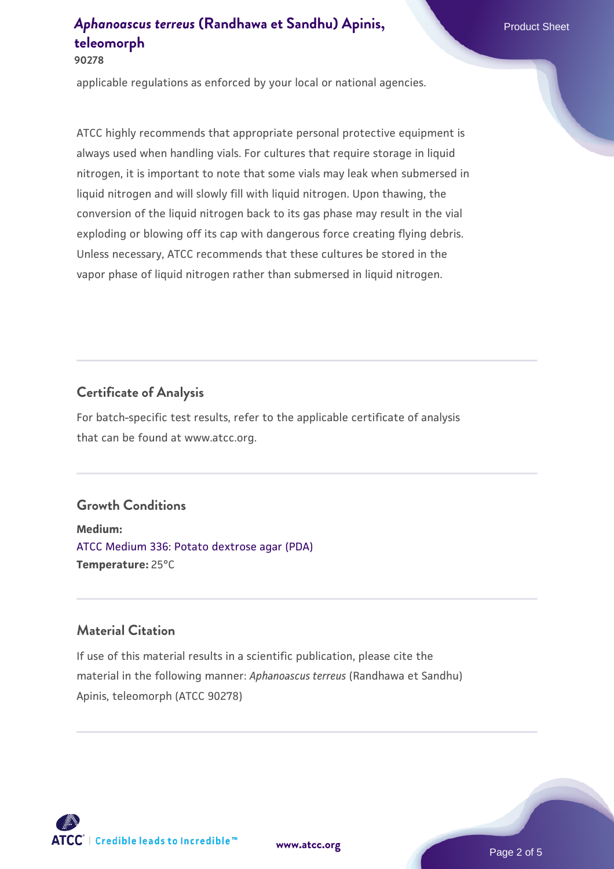# *[Aphanoascus terreus](https://www.atcc.org/products/90278)* **[\(Randhawa et Sandhu\) Apinis,](https://www.atcc.org/products/90278) Product Sheet [teleomorph](https://www.atcc.org/products/90278)**

**90278**

applicable regulations as enforced by your local or national agencies.

ATCC highly recommends that appropriate personal protective equipment is always used when handling vials. For cultures that require storage in liquid nitrogen, it is important to note that some vials may leak when submersed in liquid nitrogen and will slowly fill with liquid nitrogen. Upon thawing, the conversion of the liquid nitrogen back to its gas phase may result in the vial exploding or blowing off its cap with dangerous force creating flying debris. Unless necessary, ATCC recommends that these cultures be stored in the vapor phase of liquid nitrogen rather than submersed in liquid nitrogen.

### **Certificate of Analysis**

For batch-specific test results, refer to the applicable certificate of analysis that can be found at www.atcc.org.

### **Growth Conditions**

**Medium:**  [ATCC Medium 336: Potato dextrose agar \(PDA\)](https://www.atcc.org/-/media/product-assets/documents/microbial-media-formulations/3/3/6/atcc-medium-336.pdf?rev=d9160ad44d934cd8b65175461abbf3b9) **Temperature:** 25°C

### **Material Citation**

If use of this material results in a scientific publication, please cite the material in the following manner: *Aphanoascus terreus* (Randhawa et Sandhu) Apinis, teleomorph (ATCC 90278)

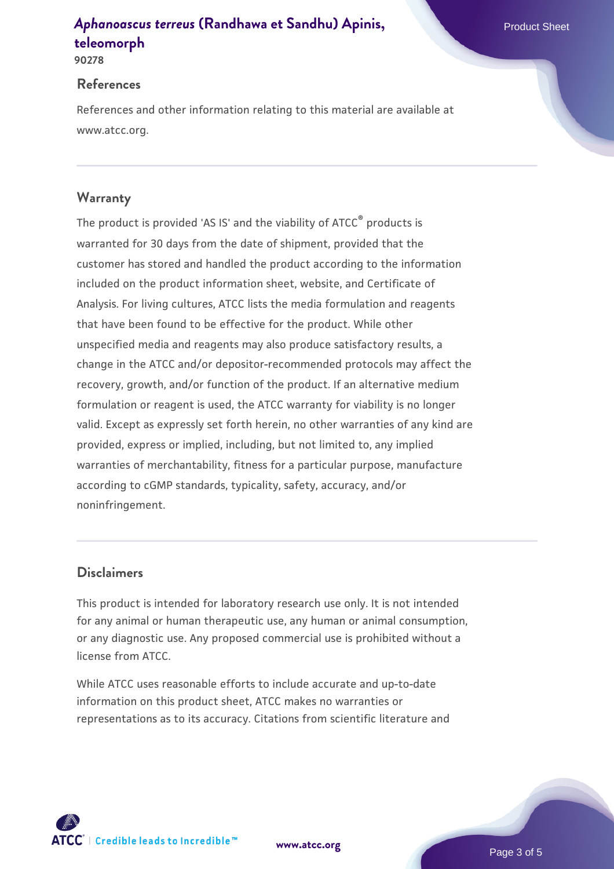# *[Aphanoascus terreus](https://www.atcc.org/products/90278)* **[\(Randhawa et Sandhu\) Apinis,](https://www.atcc.org/products/90278) Product Sheet [teleomorph](https://www.atcc.org/products/90278)**

**90278**

#### **References**

References and other information relating to this material are available at www.atcc.org.

### **Warranty**

The product is provided 'AS IS' and the viability of ATCC® products is warranted for 30 days from the date of shipment, provided that the customer has stored and handled the product according to the information included on the product information sheet, website, and Certificate of Analysis. For living cultures, ATCC lists the media formulation and reagents that have been found to be effective for the product. While other unspecified media and reagents may also produce satisfactory results, a change in the ATCC and/or depositor-recommended protocols may affect the recovery, growth, and/or function of the product. If an alternative medium formulation or reagent is used, the ATCC warranty for viability is no longer valid. Except as expressly set forth herein, no other warranties of any kind are provided, express or implied, including, but not limited to, any implied warranties of merchantability, fitness for a particular purpose, manufacture according to cGMP standards, typicality, safety, accuracy, and/or noninfringement.

#### **Disclaimers**

This product is intended for laboratory research use only. It is not intended for any animal or human therapeutic use, any human or animal consumption, or any diagnostic use. Any proposed commercial use is prohibited without a license from ATCC.

While ATCC uses reasonable efforts to include accurate and up-to-date information on this product sheet, ATCC makes no warranties or representations as to its accuracy. Citations from scientific literature and

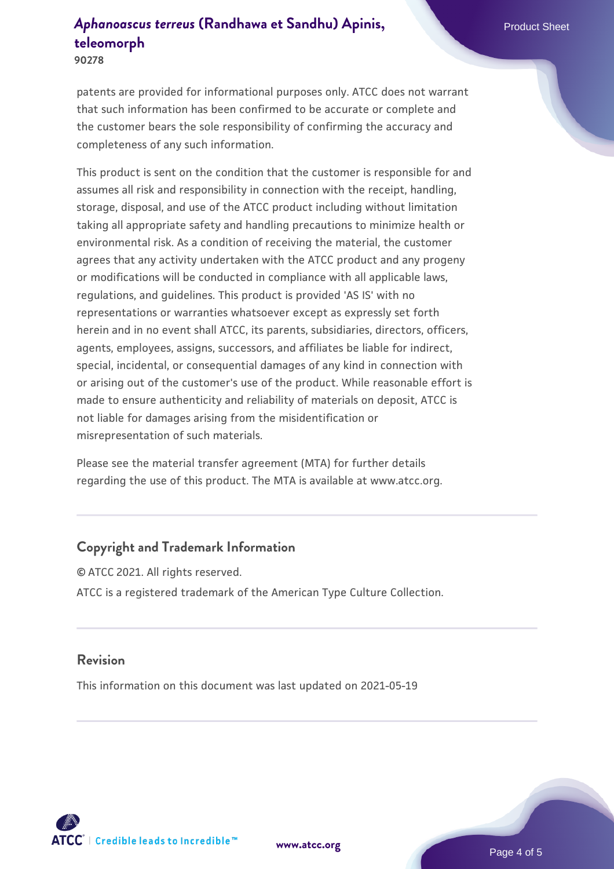# *[Aphanoascus terreus](https://www.atcc.org/products/90278)* **[\(Randhawa et Sandhu\) Apinis,](https://www.atcc.org/products/90278) Product Sheet [teleomorph](https://www.atcc.org/products/90278)**

**90278**

patents are provided for informational purposes only. ATCC does not warrant that such information has been confirmed to be accurate or complete and the customer bears the sole responsibility of confirming the accuracy and completeness of any such information.

This product is sent on the condition that the customer is responsible for and assumes all risk and responsibility in connection with the receipt, handling, storage, disposal, and use of the ATCC product including without limitation taking all appropriate safety and handling precautions to minimize health or environmental risk. As a condition of receiving the material, the customer agrees that any activity undertaken with the ATCC product and any progeny or modifications will be conducted in compliance with all applicable laws, regulations, and guidelines. This product is provided 'AS IS' with no representations or warranties whatsoever except as expressly set forth herein and in no event shall ATCC, its parents, subsidiaries, directors, officers, agents, employees, assigns, successors, and affiliates be liable for indirect, special, incidental, or consequential damages of any kind in connection with or arising out of the customer's use of the product. While reasonable effort is made to ensure authenticity and reliability of materials on deposit, ATCC is not liable for damages arising from the misidentification or misrepresentation of such materials.

Please see the material transfer agreement (MTA) for further details regarding the use of this product. The MTA is available at www.atcc.org.

#### **Copyright and Trademark Information**

© ATCC 2021. All rights reserved. ATCC is a registered trademark of the American Type Culture Collection.

#### **Revision**

This information on this document was last updated on 2021-05-19



**[www.atcc.org](http://www.atcc.org)**

Page 4 of 5